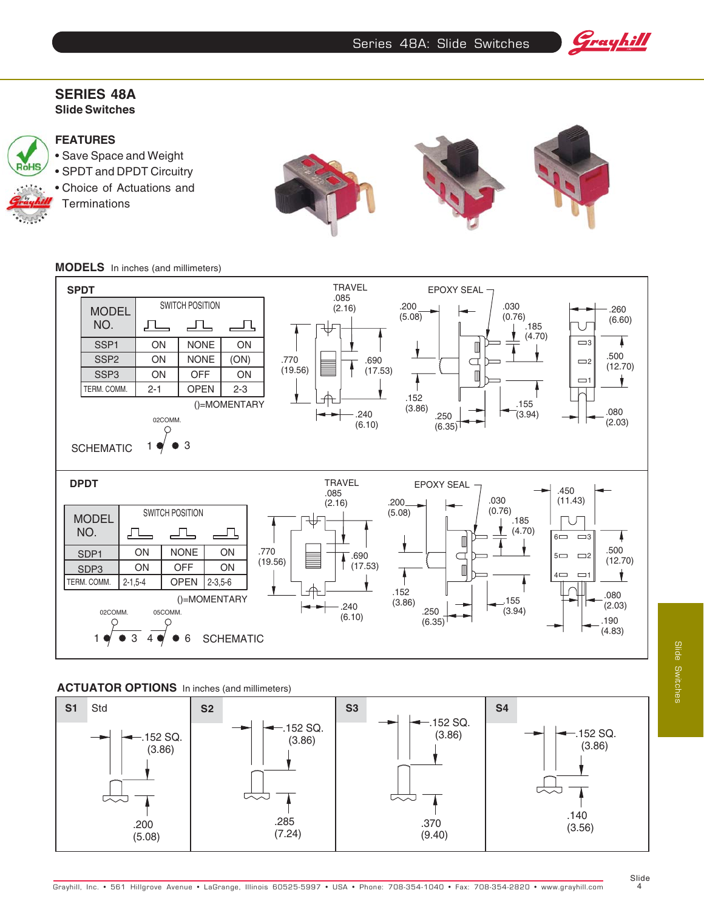Series 48A: Slide Switches

Grayhill

## **SERIES 48A Slide Switches**

# RóHS

# **FEATURES**

• Save Space and Weight • SPDT and DPDT Circuitry • Choice of Actuations and **Terminations** 



**MODELS** In inches (and millimeters)



## **ACTUATOR OPTIONS** In inches (and millimeters)

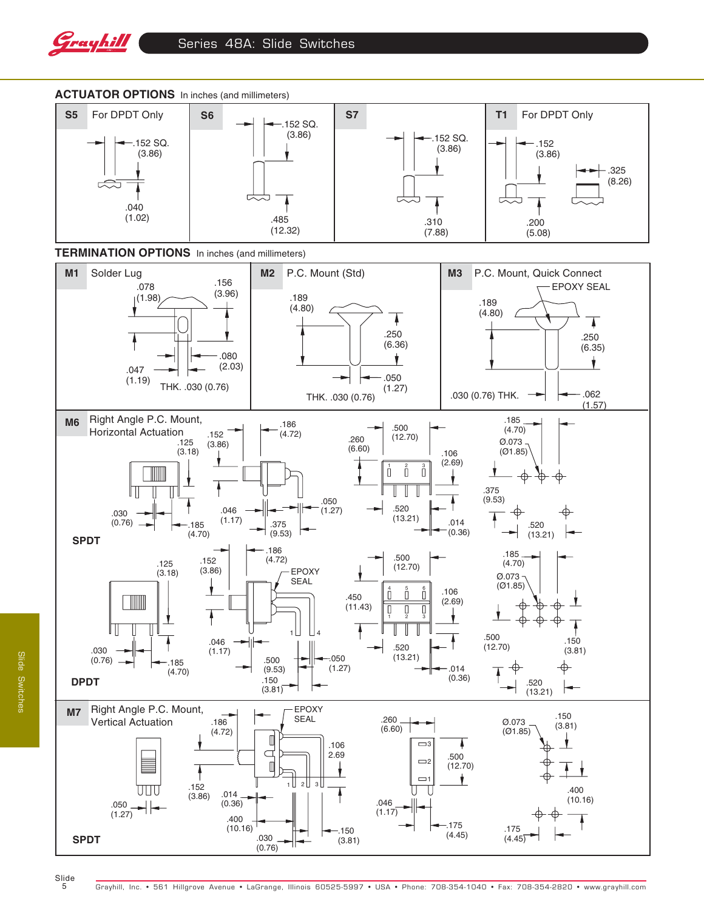



5

Slide Switches

**Slide Switches**